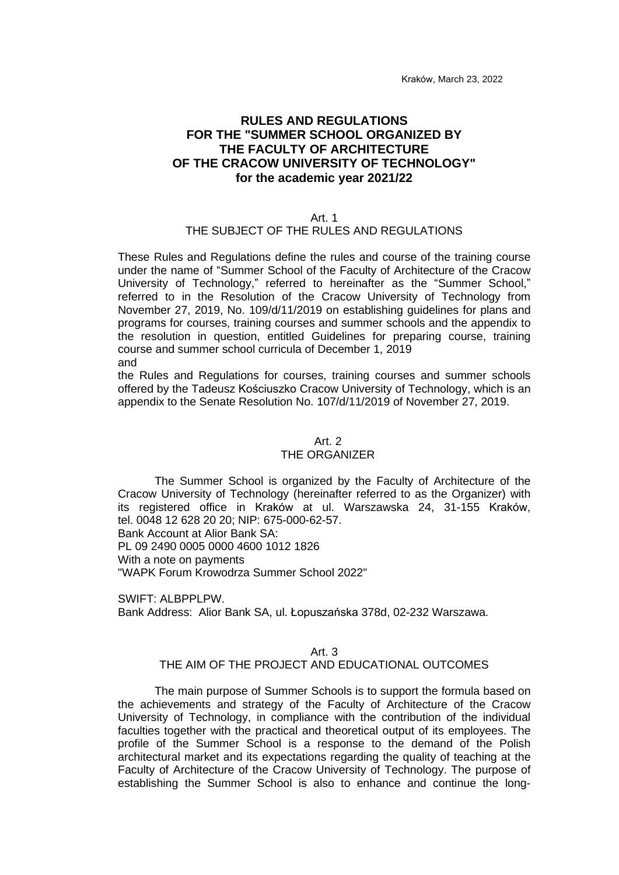Kraków, March 23, 2022

# **RULES AND REGULATIONS FOR THE "SUMMER SCHOOL ORGANIZED BY THE FACULTY OF ARCHITECTURE OF THE CRACOW UNIVERSITY OF TECHNOLOGY" for the academic year 2021/22**

#### Art. 1

#### THE SUBJECT OF THE RULES AND REGULATIONS

These Rules and Regulations define the rules and course of the training course under the name of "Summer School of the Faculty of Architecture of the Cracow University of Technology," referred to hereinafter as the "Summer School," referred to in the Resolution of the Cracow University of Technology from November 27, 2019, No. 109/d/11/2019 on establishing guidelines for plans and programs for courses, training courses and summer schools and the appendix to the resolution in question, entitled Guidelines for preparing course, training course and summer school curricula of December 1, 2019 and

the Rules and Regulations for courses, training courses and summer schools offered by the Tadeusz Kościuszko Cracow University of Technology, which is an appendix to the Senate Resolution No. 107/d/11/2019 of November 27, 2019.

#### Art. 2 THE ORGANIZER

The Summer School is organized by the Faculty of Architecture of the Cracow University of Technology (hereinafter referred to as the Organizer) with its registered office in Kraków at ul. Warszawska 24, 31-155 Kraków, tel. 0048 12 628 20 20; NIP: 675-000-62-57. Bank Account at Alior Bank SA:

PL 09 2490 0005 0000 4600 1012 1826

With a note on payments

"WAPK Forum Krowodrza Summer School 2022"

SWIFT: ALBPPLPW. Bank Address: Alior Bank SA, ul. Łopuszańska 378d, 02-232 Warszawa.

#### Art. 3

### THE AIM OF THE PROJECT AND EDUCATIONAL OUTCOMES

The main purpose of Summer Schools is to support the formula based on the achievements and strategy of the Faculty of Architecture of the Cracow University of Technology, in compliance with the contribution of the individual faculties together with the practical and theoretical output of its employees. The profile of the Summer School is a response to the demand of the Polish architectural market and its expectations regarding the quality of teaching at the Faculty of Architecture of the Cracow University of Technology. The purpose of establishing the Summer School is also to enhance and continue the long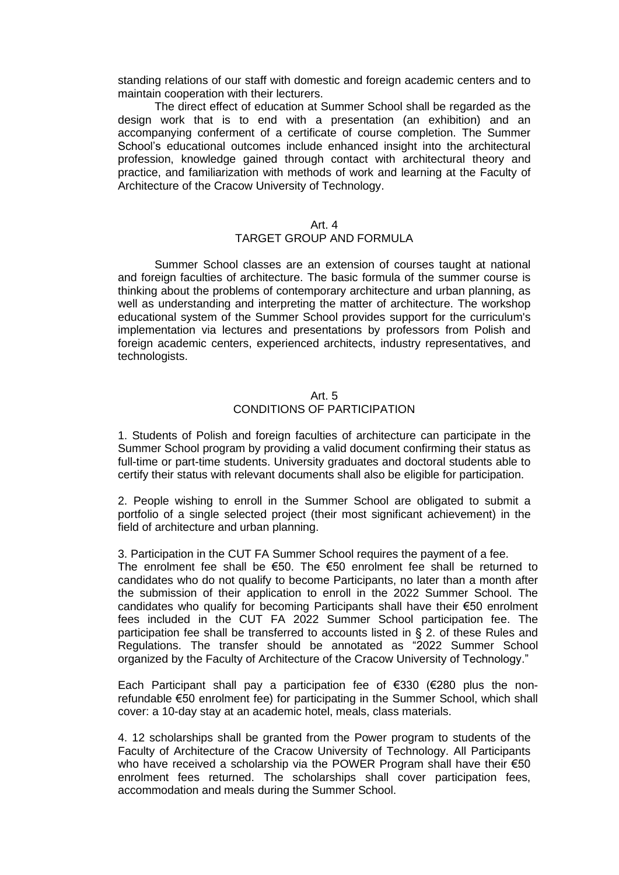standing relations of our staff with domestic and foreign academic centers and to maintain cooperation with their lecturers.

The direct effect of education at Summer School shall be regarded as the design work that is to end with a presentation (an exhibition) and an accompanying conferment of a certificate of course completion. The Summer School's educational outcomes include enhanced insight into the architectural profession, knowledge gained through contact with architectural theory and practice, and familiarization with methods of work and learning at the Faculty of Architecture of the Cracow University of Technology.

#### Art. 4

### TARGET GROUP AND FORMULA

Summer School classes are an extension of courses taught at national and foreign faculties of architecture. The basic formula of the summer course is thinking about the problems of contemporary architecture and urban planning, as well as understanding and interpreting the matter of architecture. The workshop educational system of the Summer School provides support for the curriculum's implementation via lectures and presentations by professors from Polish and foreign academic centers, experienced architects, industry representatives, and technologists.

### Art. 5 CONDITIONS OF PARTICIPATION

1. Students of Polish and foreign faculties of architecture can participate in the Summer School program by providing a valid document confirming their status as full-time or part-time students. University graduates and doctoral students able to certify their status with relevant documents shall also be eligible for participation.

2. People wishing to enroll in the Summer School are obligated to submit a portfolio of a single selected project (their most significant achievement) in the field of architecture and urban planning.

3. Participation in the CUT FA Summer School requires the payment of a fee.

The enrolment fee shall be  $€50$ . The  $€50$  enrolment fee shall be returned to candidates who do not qualify to become Participants, no later than a month after the submission of their application to enroll in the 2022 Summer School. The candidates who qualify for becoming Participants shall have their €50 enrolment fees included in the CUT FA 2022 Summer School participation fee. The participation fee shall be transferred to accounts listed in § 2. of these Rules and Regulations. The transfer should be annotated as "2022 Summer School organized by the Faculty of Architecture of the Cracow University of Technology."

Each Participant shall pay a participation fee of €330 (€280 plus the nonrefundable €50 enrolment fee) for participating in the Summer School, which shall cover: a 10-day stay at an academic hotel, meals, class materials.

4. 12 scholarships shall be granted from the Power program to students of the Faculty of Architecture of the Cracow University of Technology. All Participants who have received a scholarship via the POWER Program shall have their €50 enrolment fees returned. The scholarships shall cover participation fees, accommodation and meals during the Summer School.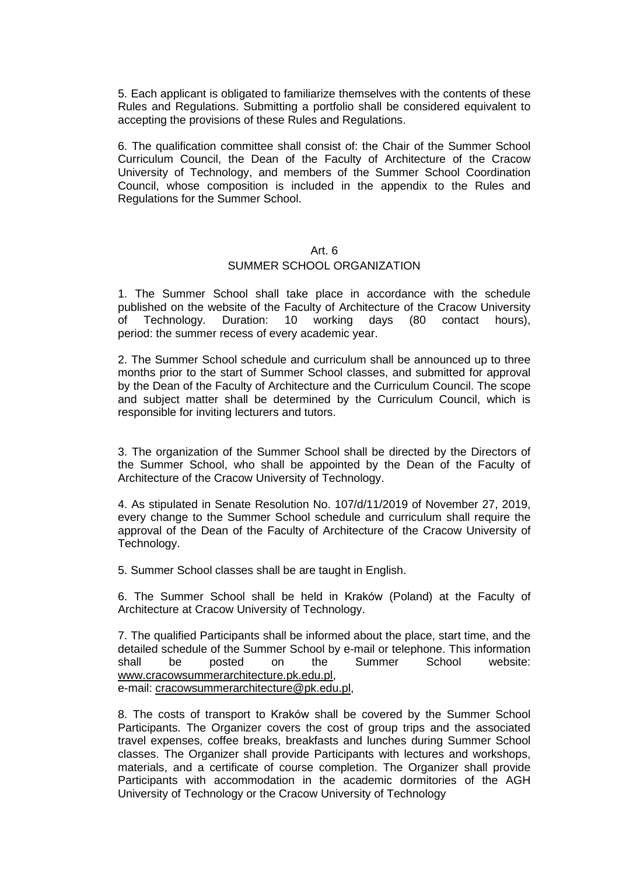5. Each applicant is obligated to familiarize themselves with the contents of these Rules and Regulations. Submitting a portfolio shall be considered equivalent to accepting the provisions of these Rules and Regulations.

6. The qualification committee shall consist of: the Chair of the Summer School Curriculum Council, the Dean of the Faculty of Architecture of the Cracow University of Technology, and members of the Summer School Coordination Council, whose composition is included in the appendix to the Rules and Regulations for the Summer School.

# Art. 6

#### SUMMER SCHOOL ORGANIZATION

1. The Summer School shall take place in accordance with the schedule published on the website of the Faculty of Architecture of the Cracow University of Technology. Duration: 10 working days (80 contact hours), period: the summer recess of every academic year.

2. The Summer School schedule and curriculum shall be announced up to three months prior to the start of Summer School classes, and submitted for approval by the Dean of the Faculty of Architecture and the Curriculum Council. The scope and subject matter shall be determined by the Curriculum Council, which is responsible for inviting lecturers and tutors.

3. The organization of the Summer School shall be directed by the Directors of the Summer School, who shall be appointed by the Dean of the Faculty of Architecture of the Cracow University of Technology.

4. As stipulated in Senate Resolution No. 107/d/11/2019 of November 27, 2019, every change to the Summer School schedule and curriculum shall require the approval of the Dean of the Faculty of Architecture of the Cracow University of Technology.

5. Summer School classes shall be are taught in English.

6. The Summer School shall be held in Kraków (Poland) at the Faculty of Architecture at Cracow University of Technology.

7. The qualified Participants shall be informed about the place, start time, and the detailed schedule of the Summer School by e-mail or telephone. This information shall be posted on the Summer School website: [www.cracowsummerarchitecture.pk.edu.pl,](http://www.cracowsummerarchitecture.pk.edu.pl/) e-mail: [cracowsummerarchitecture@pk.edu.pl,](mailto:cracowsummerarchitecture@pk.edu.pl)

8. The costs of transport to Kraków shall be covered by the Summer School Participants. The Organizer covers the cost of group trips and the associated travel expenses, coffee breaks, breakfasts and lunches during Summer School classes. The Organizer shall provide Participants with lectures and workshops, materials, and a certificate of course completion. The Organizer shall provide Participants with accommodation in the academic dormitories of the AGH University of Technology or the Cracow University of Technology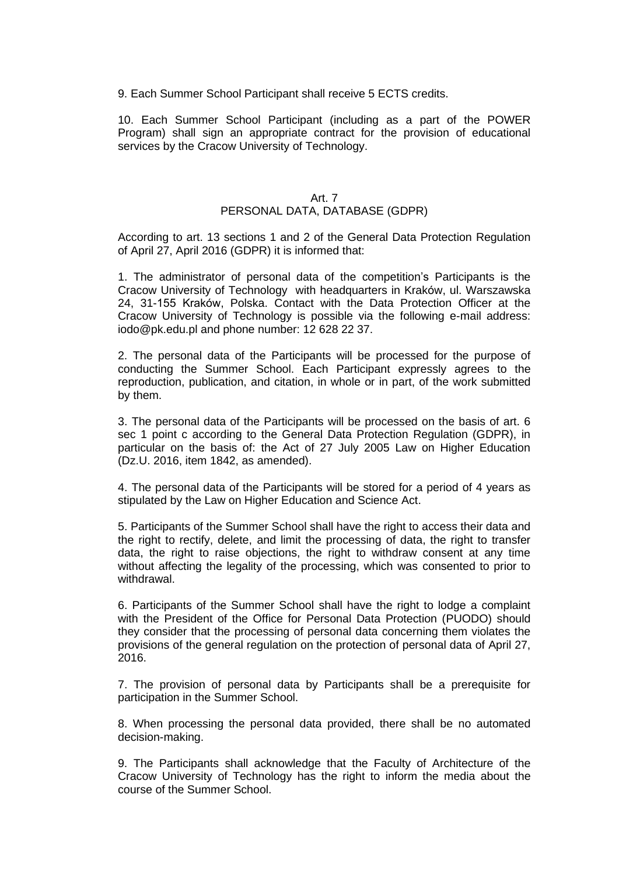9. Each Summer School Participant shall receive 5 ECTS credits.

10. Each Summer School Participant (including as a part of the POWER Program) shall sign an appropriate contract for the provision of educational services by the Cracow University of Technology.

### Art. 7

## PERSONAL DATA, DATABASE (GDPR)

According to art. 13 sections 1 and 2 of the General Data Protection Regulation of April 27, April 2016 (GDPR) it is informed that:

1. The administrator of personal data of the competition's Participants is the Cracow University of Technology with headquarters in Kraków, ul. Warszawska 24, 31-155 Kraków, Polska. Contact with the Data Protection Officer at the Cracow University of Technology is possible via the following e-mail address: iodo@pk.edu.pl and phone number: 12 628 22 37.

2. The personal data of the Participants will be processed for the purpose of conducting the Summer School. Each Participant expressly agrees to the reproduction, publication, and citation, in whole or in part, of the work submitted by them.

3. The personal data of the Participants will be processed on the basis of art. 6 sec 1 point c according to the General Data Protection Regulation (GDPR), in particular on the basis of: the Act of 27 July 2005 Law on Higher Education (Dz.U. 2016, item 1842, as amended).

4. The personal data of the Participants will be stored for a period of 4 years as stipulated by the Law on Higher Education and Science Act.

5. Participants of the Summer School shall have the right to access their data and the right to rectify, delete, and limit the processing of data, the right to transfer data, the right to raise objections, the right to withdraw consent at any time without affecting the legality of the processing, which was consented to prior to withdrawal.

6. Participants of the Summer School shall have the right to lodge a complaint with the President of the Office for Personal Data Protection (PUODO) should they consider that the processing of personal data concerning them violates the provisions of the general regulation on the protection of personal data of April 27, 2016.

7. The provision of personal data by Participants shall be a prerequisite for participation in the Summer School.

8. When processing the personal data provided, there shall be no automated decision-making.

9. The Participants shall acknowledge that the Faculty of Architecture of the Cracow University of Technology has the right to inform the media about the course of the Summer School.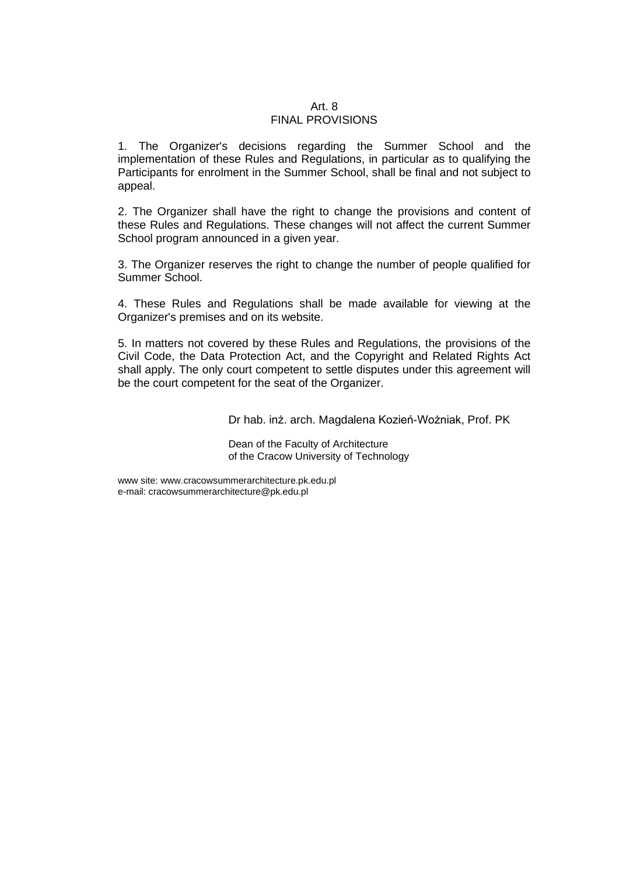#### Art. 8 FINAL PROVISIONS

1. The Organizer's decisions regarding the Summer School and the implementation of these Rules and Regulations, in particular as to qualifying the Participants for enrolment in the Summer School, shall be final and not subject to appeal.

2. The Organizer shall have the right to change the provisions and content of these Rules and Regulations. These changes will not affect the current Summer School program announced in a given year.

3. The Organizer reserves the right to change the number of people qualified for Summer School.

4. These Rules and Regulations shall be made available for viewing at the Organizer's premises and on its website.

5. In matters not covered by these Rules and Regulations, the provisions of the Civil Code, the Data Protection Act, and the Copyright and Related Rights Act shall apply. The only court competent to settle disputes under this agreement will be the court competent for the seat of the Organizer.

Dr hab. inż. arch. Magdalena Kozień-Wożniak, Prof. PK

Dean of the Faculty of Architecture of the Cracow University of Technology

www site[: www.cracowsummerarchitecture.pk.edu.pl](http://www.cracowsummerarchitecture.pk.edu.pl/) e-mail: [cracowsummerarchitecture@pk.edu.pl](mailto:cracowsummerarchitecture@pk.edu.pl)